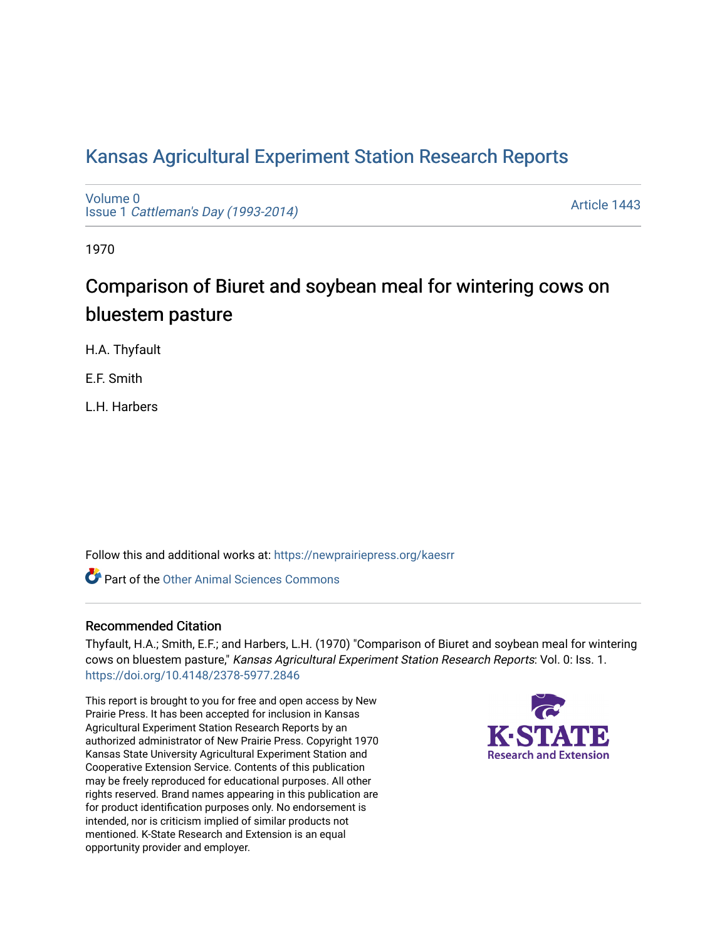# [Kansas Agricultural Experiment Station Research Reports](https://newprairiepress.org/kaesrr)

[Volume 0](https://newprairiepress.org/kaesrr/vol0) Issue 1 [Cattleman's Day \(1993-2014\)](https://newprairiepress.org/kaesrr/vol0/iss1) 

[Article 1443](https://newprairiepress.org/kaesrr/vol0/iss1/1443) 

1970

# Comparison of Biuret and soybean meal for wintering cows on bluestem pasture

H.A. Thyfault

E.F. Smith

L.H. Harbers

Follow this and additional works at: [https://newprairiepress.org/kaesrr](https://newprairiepress.org/kaesrr?utm_source=newprairiepress.org%2Fkaesrr%2Fvol0%2Fiss1%2F1443&utm_medium=PDF&utm_campaign=PDFCoverPages) 

**C** Part of the [Other Animal Sciences Commons](http://network.bepress.com/hgg/discipline/82?utm_source=newprairiepress.org%2Fkaesrr%2Fvol0%2Fiss1%2F1443&utm_medium=PDF&utm_campaign=PDFCoverPages)

### Recommended Citation

Thyfault, H.A.; Smith, E.F.; and Harbers, L.H. (1970) "Comparison of Biuret and soybean meal for wintering cows on bluestem pasture," Kansas Agricultural Experiment Station Research Reports: Vol. 0: Iss. 1. <https://doi.org/10.4148/2378-5977.2846>

This report is brought to you for free and open access by New Prairie Press. It has been accepted for inclusion in Kansas Agricultural Experiment Station Research Reports by an authorized administrator of New Prairie Press. Copyright 1970 Kansas State University Agricultural Experiment Station and Cooperative Extension Service. Contents of this publication may be freely reproduced for educational purposes. All other rights reserved. Brand names appearing in this publication are for product identification purposes only. No endorsement is intended, nor is criticism implied of similar products not mentioned. K-State Research and Extension is an equal opportunity provider and employer.

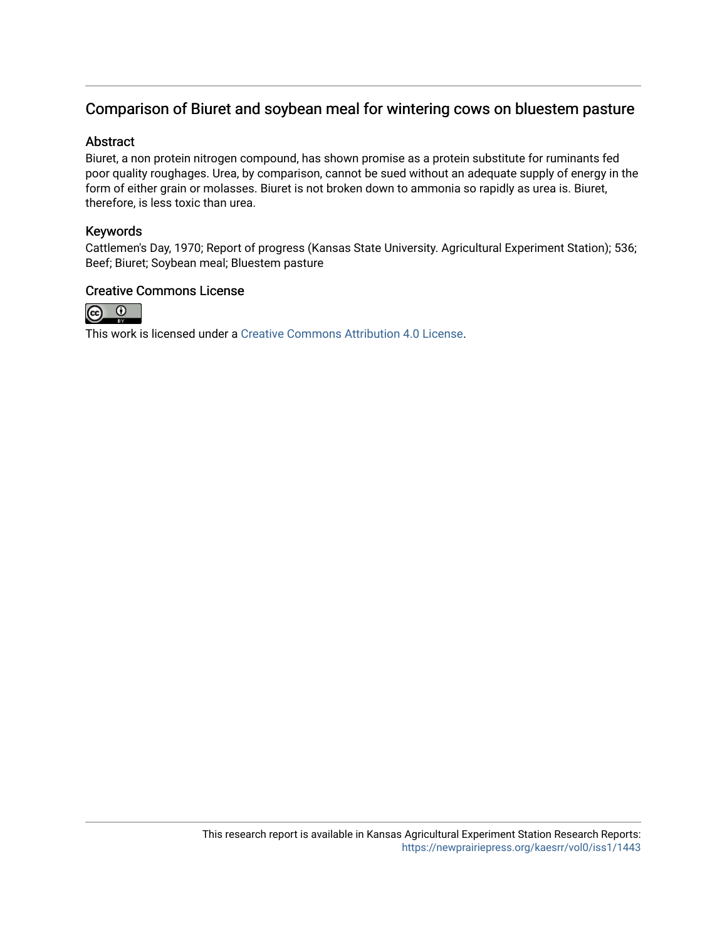## Comparison of Biuret and soybean meal for wintering cows on bluestem pasture

#### Abstract

Biuret, a non protein nitrogen compound, has shown promise as a protein substitute for ruminants fed poor quality roughages. Urea, by comparison, cannot be sued without an adequate supply of energy in the form of either grain or molasses. Biuret is not broken down to ammonia so rapidly as urea is. Biuret, therefore, is less toxic than urea.

#### Keywords

Cattlemen's Day, 1970; Report of progress (Kansas State University. Agricultural Experiment Station); 536; Beef; Biuret; Soybean meal; Bluestem pasture

## Creative Commons License



This work is licensed under a [Creative Commons Attribution 4.0 License](https://creativecommons.org/licenses/by/4.0/).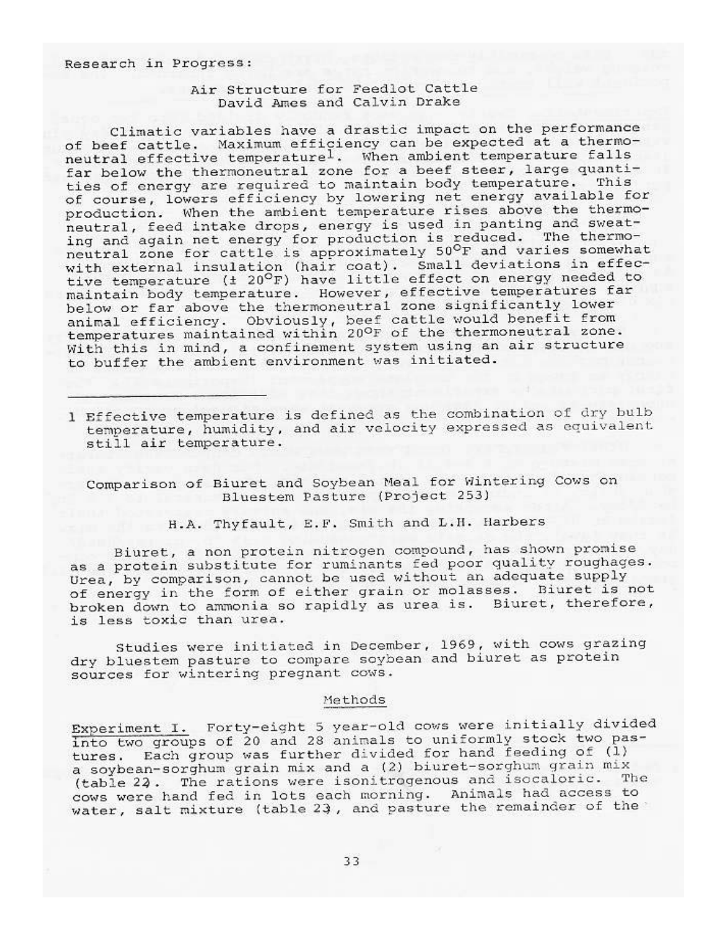#### Research in Progress:

#### Air Structure for Feedlot Cattle David Ames and Calvin Drake

Climatic variables have a drastic impact on the performance of beef cattle. Maximum efficiency can be expected at a thermoneutral effective temperature<sup>1</sup>. When ambient temperature falls<br>far below the thermoneutral zone for a beef steer, large quantities of energy are required to maintain body temperature. This of course, lowers efficiency by lowering net energy available for production. When the ambient temperature rises above the thermoneutral, feed intake drops, energy is used in panting and sweating and again net energy for production is reduced. The thermoneutral zone for cattle is approximately 50°F and varies somewhat with external insulation (hair coat). Small deviations in effective temperature (± 20°F) have little effect on energy needed to maintain body temperature. However, effective temperatures far below or far above the thermoneutral zone significantly lower animal efficiency. Obviously, beef cattle would benefit from<br>temperatures maintained within 20°F of the thermoneutral zone. With this in mind, a confinement system using an air structure to buffer the ambient environment was initiated.

1 Effective temperature is defined as the combination of dry bulb temperature, humidity, and air velocity expressed as equivalent still air temperature.

Comparison of Biuret and Soybean Meal for Wintering Cows on Bluestem Pasture (Project 253)

H.A. Thyfault, E.F. Smith and L.H. Harbers

Biuret, a non protein nitrogen compound, has shown promise as a protein substitute for ruminants fed poor quality roughages. Urea, by comparison, cannot be used without an adequate supply of energy in the form of either grain or molasses. Biuret is not broken down to ammonia so rapidly as urea is. Biuret, therefore, is less toxic than urea.

Studies were initiated in December, 1969, with cows grazing dry bluestem pasture to compare soybean and biuret as protein sources for wintering pregnant cows.

#### Methods

Experiment I. Forty-eight 5 year-old cows were initially divided into two groups of 20 and 28 animals to uniformly stock two pastures. Each group was further divided for hand feeding of (1) a soybean-sorghum grain mix and a (2) biuret-sorghum grain mix (table 22. The rations were isonitrogenous and isocaloric. The cows were hand fed in lots each morning. Animals had access to water, salt mixture (table 23, and pasture the remainder of the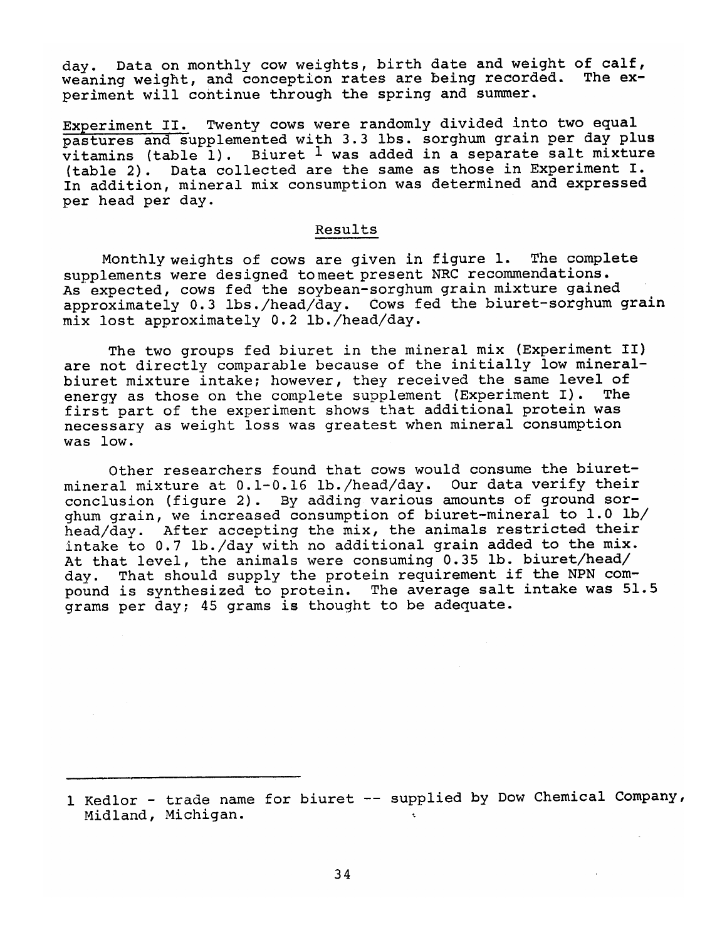day. Data on monthly cow weights, birth date and weight of calf, weaning weight, and conception rates are being recorded. The experiment will continue through the spring and summer.

Experiment II. Twenty cows were randomly divided into two equal pastures and supplemented with 3.3 lbs. sorghum grain per day plus vitamins (table 1). Biuret <sup>1</sup> was added in a separate salt mixture (table 2). Data collected are the same as those in Experiment I. In addition, mineral mix consumption was determined and expressed per head per day.

#### Results

Monthly weights of cows are given in figure 1. The complete supplements were designed to meet present NRC recommendations. As expected, cows fed the soybean-sorghum grain mixture gained approximately 0.3 lbs./head/day. Cows fed the biuret-sorghum grain mix lost approximately 0.2 lb./head/day.

The two groups fed biuret in the mineral mix (Experiment II) are not directly comparable because of the initially low mineralbiuret mixture intake; however, they received the same level of energy as those on the complete supplement (Experiment I). **The** first part of the experiment shows that additional protein was necessary as weight loss was greatest when mineral consumption was low.

Other researchers found that cows would consume the biuretmineral mixture at 0.1-0.16 lb./head/day. Our data verify their conclusion (figure 2). By adding various amounts of ground sorghum grain, we increased consumption of biuret-mineral to 1.0 lb/ head/day. After accepting the mix, the animals restricted their intake to 0.7 lb./day with no additional grain added to the mix. At that level, the animals were consuming 0.35 lb. biuret/head/ day. That should supply the protein requirement if the NPN compound is synthesized to protein. The average salt intake was 51.5 grams per day; 45 grams is thought to be adequate.

<sup>1</sup> Kedlor - trade name for biuret -- supplied by Dow Chemical Company, Midland, Michigan.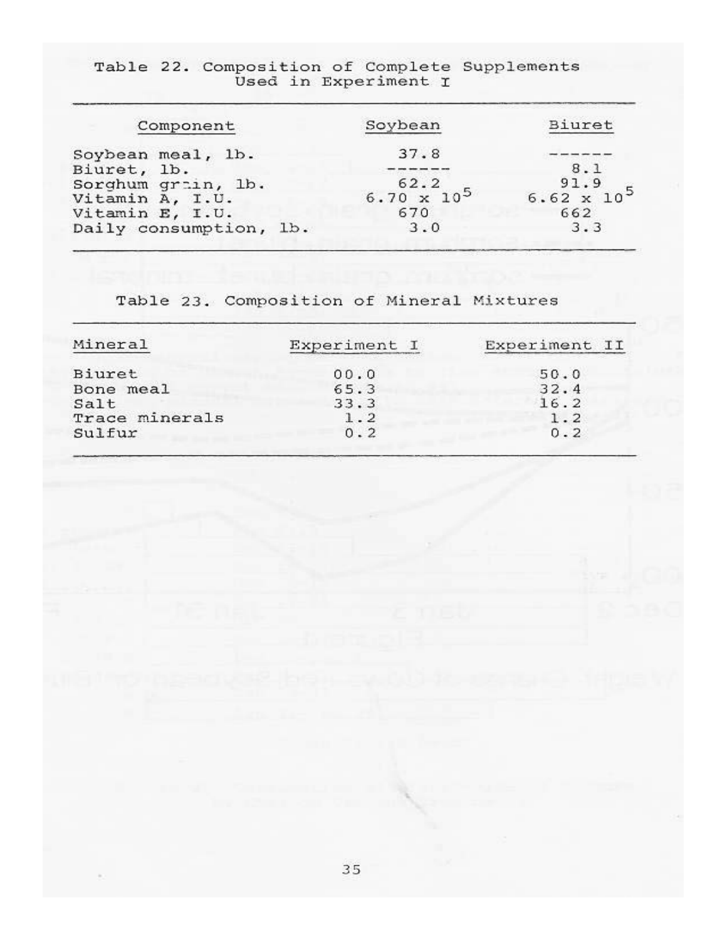| Table 22. Composition of Complete Supplements<br>Used in Experiment I |                              |                            |
|-----------------------------------------------------------------------|------------------------------|----------------------------|
| Component                                                             | Soybean                      | Biuret                     |
| Soybean meal, lb.<br>Biuret, lb.                                      | 37.8                         | 8.1                        |
| Sorghum grain, lb.<br>Vitamin A, I.U.                                 | 62.2<br>$6.70 \times 10^{5}$ | 91.9<br>$6.62 \times 10^5$ |
| Vitamin E, I.U.<br>Daily consumption, lb.                             | 670<br>3.0                   | 662<br>3.3                 |

Table 23. Composition of Mineral Mixtures

| Mineral        | Experiment I<br>20 March 2011 - 10 March 2012 - 10 March 2012 | Experiment II |
|----------------|---------------------------------------------------------------|---------------|
| Biuret         | 00.0                                                          | 50.0          |
| Bone meal      | 65.3                                                          | 32.4          |
| Salt           | 33.3                                                          | 16.2          |
| Trace minerals | 1.2                                                           | 1.2           |
| Sulfur         | 0.2                                                           | 0.2           |
|                |                                                               |               |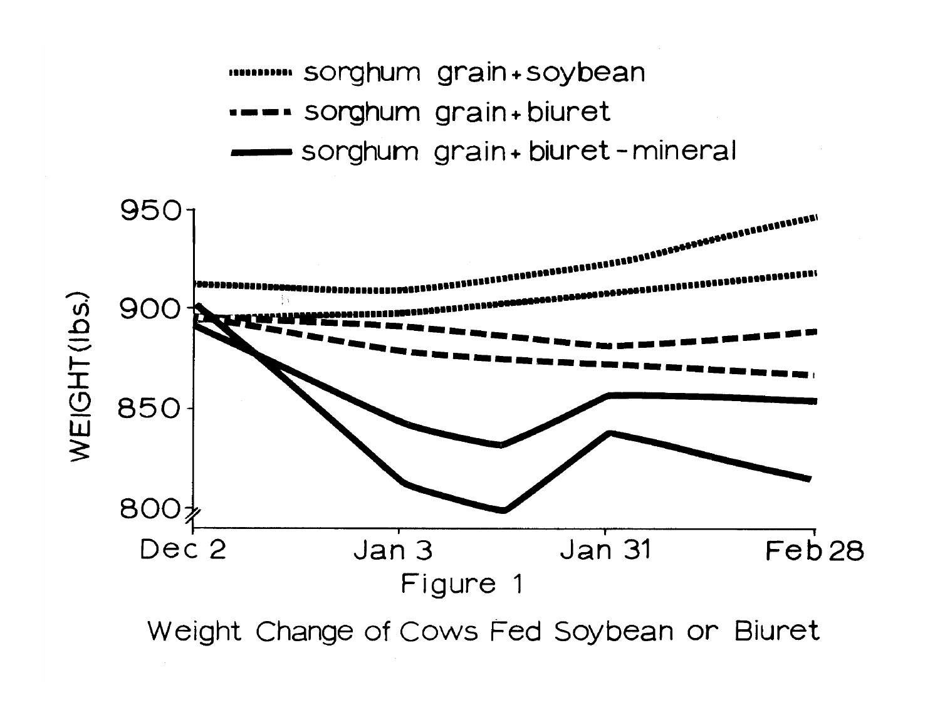m sorghum grain+soybean ---- sorghum grain+biuret sorghum grain+biuret-mineral



Weight Change of Cows Fed Soybean or Biuret